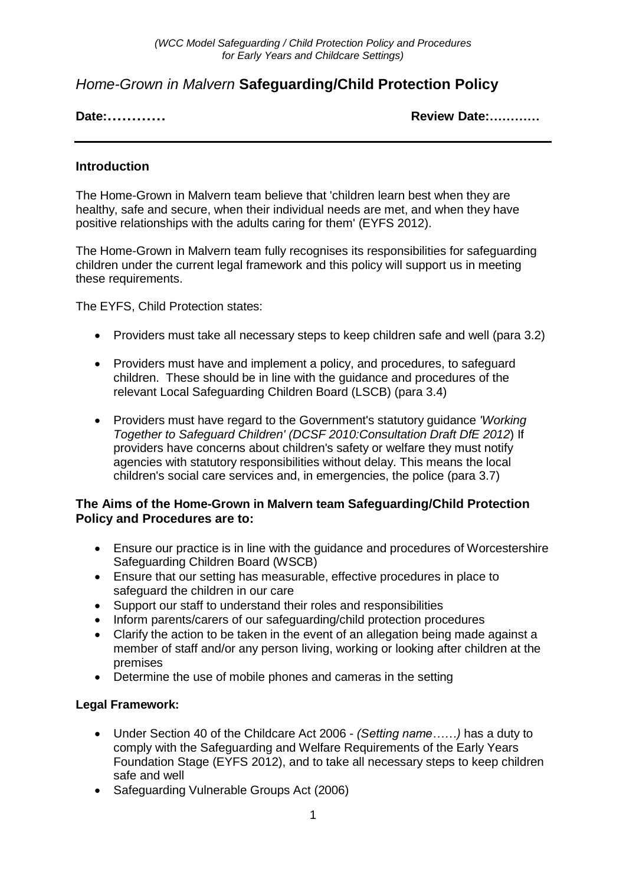# *Home-Grown in Malvern* **Safeguarding/Child Protection Policy**

**Date:………… Review Date:…………**

### **Introduction**

The Home-Grown in Malvern team believe that 'children learn best when they are healthy, safe and secure, when their individual needs are met, and when they have positive relationships with the adults caring for them' (EYFS 2012).

The Home-Grown in Malvern team fully recognises its responsibilities for safeguarding children under the current legal framework and this policy will support us in meeting these requirements.

The EYFS, Child Protection states:

- Providers must take all necessary steps to keep children safe and well (para 3.2)
- Providers must have and implement a policy, and procedures, to safeguard children. These should be in line with the guidance and procedures of the relevant Local Safeguarding Children Board (LSCB) (para 3.4)
- Providers must have regard to the Government's statutory guidance *'Working Together to Safeguard Children' (DCSF 2010:Consultation Draft DfE 2012*) If providers have concerns about children's safety or welfare they must notify agencies with statutory responsibilities without delay. This means the local children's social care services and, in emergencies, the police (para 3.7)

#### **The Aims of the Home-Grown in Malvern team Safeguarding/Child Protection Policy and Procedures are to:**

- Ensure our practice is in line with the guidance and procedures of Worcestershire Safeguarding Children Board (WSCB)
- Ensure that our setting has measurable, effective procedures in place to safeguard the children in our care
- Support our staff to understand their roles and responsibilities
- Inform parents/carers of our safeguarding/child protection procedures
- Clarify the action to be taken in the event of an allegation being made against a member of staff and/or any person living, working or looking after children at the premises
- Determine the use of mobile phones and cameras in the setting

#### **Legal Framework:**

- Under Section 40 of the Childcare Act 2006 *(Setting name……)* has a duty to comply with the Safeguarding and Welfare Requirements of the Early Years Foundation Stage (EYFS 2012), and to take all necessary steps to keep children safe and well
- Safeguarding Vulnerable Groups Act (2006)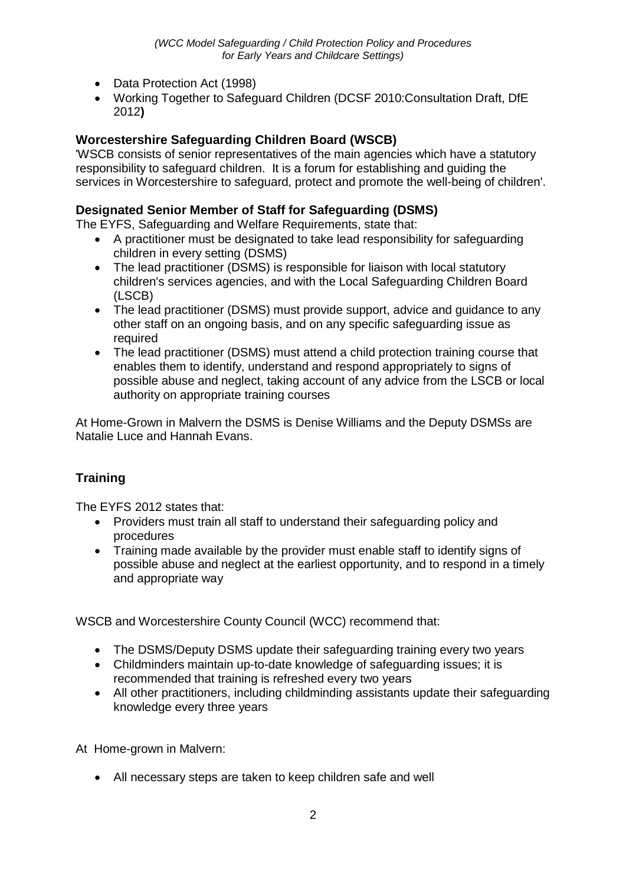- Data Protection Act (1998)
- Working Together to Safeguard Children (DCSF 2010:Consultation Draft, DfE 2012**)**

## **Worcestershire Safeguarding Children Board (WSCB)**

'WSCB consists of senior representatives of the main agencies which have a statutory responsibility to safeguard children. It is a forum for establishing and guiding the services in Worcestershire to safeguard, protect and promote the well-being of children'.

## **Designated Senior Member of Staff for Safeguarding (DSMS)**

The EYFS, Safeguarding and Welfare Requirements, state that:

- A practitioner must be designated to take lead responsibility for safeguarding children in every setting (DSMS)
- The lead practitioner (DSMS) is responsible for liaison with local statutory children's services agencies, and with the Local Safeguarding Children Board (LSCB)
- The lead practitioner (DSMS) must provide support, advice and guidance to any other staff on an ongoing basis, and on any specific safeguarding issue as required
- The lead practitioner (DSMS) must attend a child protection training course that enables them to identify, understand and respond appropriately to signs of possible abuse and neglect, taking account of any advice from the LSCB or local authority on appropriate training courses

At Home-Grown in Malvern the DSMS is Denise Williams and the Deputy DSMSs are Natalie Luce and Hannah Evans.

# **Training**

The EYFS 2012 states that:

- Providers must train all staff to understand their safeguarding policy and procedures
- Training made available by the provider must enable staff to identify signs of possible abuse and neglect at the earliest opportunity, and to respond in a timely and appropriate way

WSCB and Worcestershire County Council (WCC) recommend that:

- The DSMS/Deputy DSMS update their safeguarding training every two years
- Childminders maintain up-to-date knowledge of safeguarding issues; it is recommended that training is refreshed every two years
- All other practitioners, including childminding assistants update their safeguarding knowledge every three years

At Home-grown in Malvern:

All necessary steps are taken to keep children safe and well